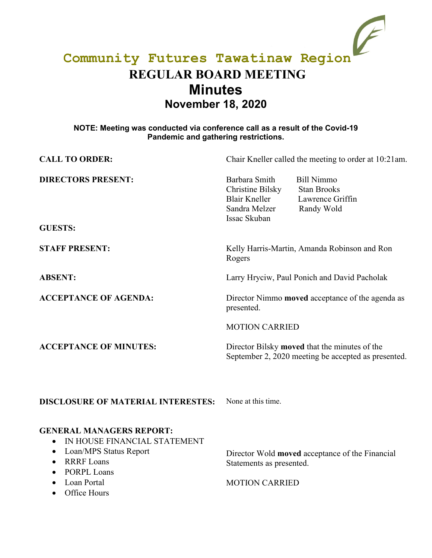# **Community Futures Tawatinaw Region REGULAR BOARD MEETING Minutes November 18, 2020**

## **NOTE: Meeting was conducted via conference call as a result of the Covid-19 Pandemic and gathering restrictions.**

| <b>CALL TO ORDER:</b>                                                                                                                                                                                                        | Chair Kneller called the meeting to order at 10:21am.                                                                                                                   |
|------------------------------------------------------------------------------------------------------------------------------------------------------------------------------------------------------------------------------|-------------------------------------------------------------------------------------------------------------------------------------------------------------------------|
| <b>DIRECTORS PRESENT:</b><br><b>GUESTS:</b>                                                                                                                                                                                  | Barbara Smith<br><b>Bill Nimmo</b><br>Christine Bilsky<br><b>Stan Brooks</b><br><b>Blair Kneller</b><br>Lawrence Griffin<br>Sandra Melzer<br>Randy Wold<br>Issac Skuban |
| <b>STAFF PRESENT:</b>                                                                                                                                                                                                        | Kelly Harris-Martin, Amanda Robinson and Ron<br>Rogers                                                                                                                  |
| <b>ABSENT:</b>                                                                                                                                                                                                               | Larry Hryciw, Paul Ponich and David Pacholak                                                                                                                            |
| <b>ACCEPTANCE OF AGENDA:</b>                                                                                                                                                                                                 | Director Nimmo moved acceptance of the agenda as<br>presented.                                                                                                          |
|                                                                                                                                                                                                                              | <b>MOTION CARRIED</b>                                                                                                                                                   |
| <b>ACCEPTANCE OF MINUTES:</b>                                                                                                                                                                                                | Director Bilsky moved that the minutes of the<br>September 2, 2020 meeting be accepted as presented.                                                                    |
| <b>DISCLOSURE OF MATERIAL INTERESTES:</b>                                                                                                                                                                                    | None at this time.                                                                                                                                                      |
| <b>GENERAL MANAGERS REPORT:</b><br>IN HOUSE FINANCIAL STATEMENT<br>Loan/MPS Status Report<br>٠<br><b>RRRF</b> Loans<br>$\bullet$<br><b>PORPL Loans</b><br>$\bullet$<br>Loan Portal<br>$\bullet$<br>Office Hours<br>$\bullet$ | Director Wold moved acceptance of the Financial<br>Statements as presented.<br><b>MOTION CARRIED</b>                                                                    |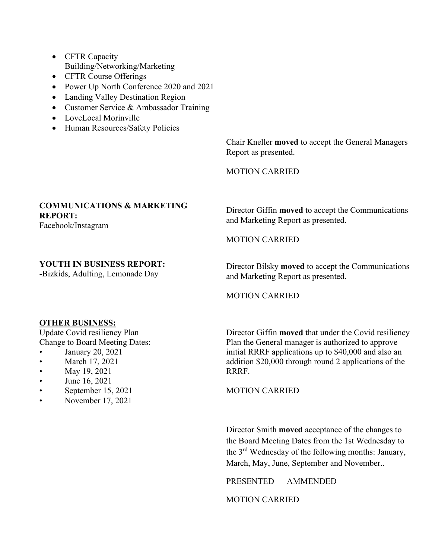- CFTR Capacity Building/Networking/Marketing
- CFTR Course Offerings
- Power Up North Conference 2020 and 2021
- Landing Valley Destination Region
- Customer Service & Ambassador Training
- LoveLocal Morinville
- Human Resources/Safety Policies

Chair Kneller **moved** to accept the General Managers Report as presented.

MOTION CARRIED

### **COMMUNICATIONS & MARKETING REPORT:**

Facebook/Instagram

Director Giffin **moved** to accept the Communications and Marketing Report as presented.

MOTION CARRIED

## **YOUTH IN BUSINESS REPORT:**

-Bizkids, Adulting, Lemonade Day

Director Bilsky **moved** to accept the Communications and Marketing Report as presented.

MOTION CARRIED

#### **OTHER BUSINESS:**

Update Covid resiliency Plan Change to Board Meeting Dates:

- January 20, 2021
- March 17, 2021
- May 19, 2021
- June 16, 2021
- September 15, 2021
- November 17, 2021

Director Giffin **moved** that under the Covid resiliency Plan the General manager is authorized to approve initial RRRF applications up to \$40,000 and also an addition \$20,000 through round 2 applications of the RRRF.

MOTION CARRIED

Director Smith **moved** acceptance of the changes to the Board Meeting Dates from the 1st Wednesday to the 3rd Wednesday of the following months: January, March, May, June, September and November..

PRESENTED AMMENDED

MOTION CARRIED